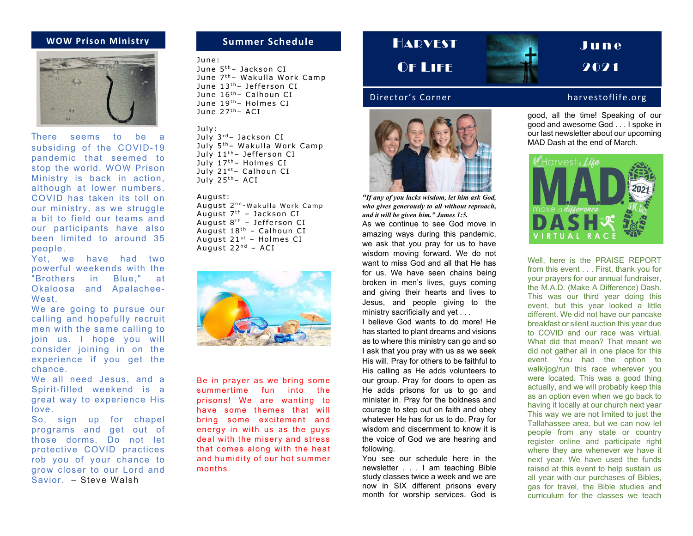# **WOW Prison Ministry | Summer Schedule**



There seems to be a subsiding of the COVID-19 pandemic that seemed to stop the world. WOW Prison Ministry is back in action, although at lower numbers. COVID has taken its toll on our ministry, as we struggle a bit to field our teams and our participants have also been limited to around 35 people.

Yet, we have had two powerful weekends with the "Brothers in Blue," at Okaloosa and Apalachee-West.

We are going to pursue our calling and hopefully recruit men with the same calling to join us. I hope you will consider joining in on the experience if you get the chance.

We all need Jesus, and a Spirit-filled weekend is a great way to experience His love.

So, sign up for chapel programs and get out of those dorms. Do not let protective COVID practices rob you of your chance to grow closer to our Lord and Savior. – Steve Walsh

## Ju ne :

June 5<sup>th</sup> - Jackson CI June 7<sup>th</sup> - Wakulla Work Camp June  $13<sup>th</sup>$  - Jefferson CI June 16<sup>th</sup> - Calhoun CI June 19<sup>th</sup> - Holmes CI June  $27<sup>th</sup>$  – ACI

### July :

July 3<sup>rd</sup>- Jackson CI July 5<sup>th</sup> – Wakulla Work Camp July 11<sup>th</sup>- Jefferson CI July  $17<sup>th</sup>$  – Holmes CI July  $21^{st}$ - Calhoun CI July  $25<sup>th</sup>$  - ACI

August: August 2<sup>nd</sup>-Wakulla Work Camp August  $7<sup>th</sup>$  – Jackson CI August  $8^{th}$  – Jefferson CI August  $18^{th}$  – Calhoun CI August  $21^{st}$  – Holmes CI August  $22^{nd}$  - ACI



Be in prayer as we bring some summertime fun into the prisons! We are wanting to have some themes that will bring some excitement and energy in with us as the guys deal with the misery and stress that comes along with the heat and humidity of our hot summer months.





*"If any of you lacks wisdom, let him ask God, who gives generously to all without reproach, and it will be given him." James 1:5.* 

As we continue to see God move in amazing ways during this pandemic, we ask that you pray for us to have wisdom moving forward. We do not want to miss God and all that He has for us. We have seen chains being broken in men's lives, guys coming and giving their hearts and lives to Jesus, and people giving to the ministry sacrificially and yet . . .

I believe God wants to do more! He has started to plant dreams and visions as to where this ministry can go and so I ask that you pray with us as we seek His will. Pray for others to be faithful to His calling as He adds volunteers to our group. Pray for doors to open as He adds prisons for us to go and minister in. Pray for the boldness and courage to step out on faith and obey whatever He has for us to do. Pray for wisdom and discernment to know it is the voice of God we are hearing and following.

You see our schedule here in the newsletter . . . I am teaching Bible study classes twice a week and we are now in SIX different prisons every month for worship services. God is

## Director's Corner harvestoflife.org

J u n e

2021

good, all the time! Speaking of our good and awesome God . . . I spoke in our last newsletter about our upcoming MAD Dash at the end of March.



Well, here is the PRAISE REPORT from this event . . . First, thank you for your prayers for our annual fundraiser, the M.A.D. (Make A Difference) Dash. This was our third year doing this event, but this year looked a little different. We did not have our pancake breakfast or silent auction this year due to COVID and our race was virtual. What did that mean? That meant we did not gather all in one place for this event. You had the option to walk/jog/run this race wherever you were located. This was a good thing actually, and we will probably keep this as an option even when we go back to having it locally at our church next year This way we are not limited to just the Tallahassee area, but we can now let people from any state or country register online and participate right where they are whenever we have it next year. We have used the funds raised at this event to help sustain us all year with our purchases of Bibles, gas for travel, the Bible studies and curriculum for the classes we teach